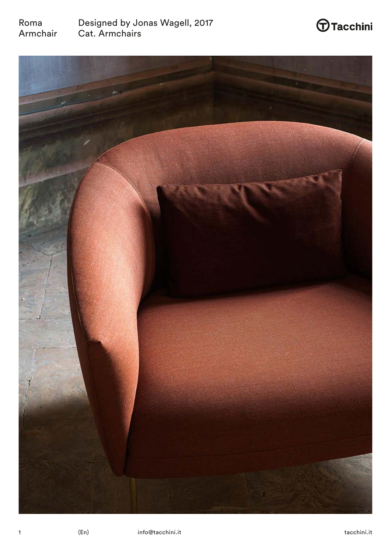



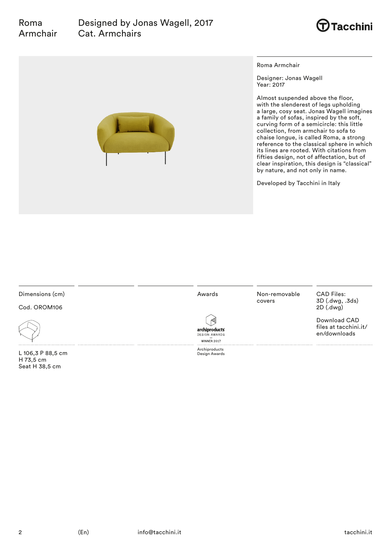

Roma Armchair

Designer: Jonas Wagell Year: 2017

Almost suspended above the floor, with the slenderest of legs upholding a large, cosy seat. Jonas Wagell imagines a family of sofas, inspired by the soft, curving form of a semicircle: this little collection, from armchair to sofa to chaise longue, is called Roma, a strong reference to the classical sphere in which its lines are rooted. With citations from fifties design, not of affectation, but of clear inspiration, this design is "classical" by nature, and not only in name.

Developed by Tacchini in Italy

# Dimensions (cm)

Cod. OROM106



Roma

L 106,3 P 88,5 cm H 73,5 cm Seat H 38,5 cm

Awards

Archiproducts Design Awards

archiproducts **DESIGN AWARDS**  $WINNER$  2017

Non-removable covers

CAD Files: 3D (.dwg, .3ds) 2D (.dwg)

Download CAD files at tacchini.it/ en/downloads



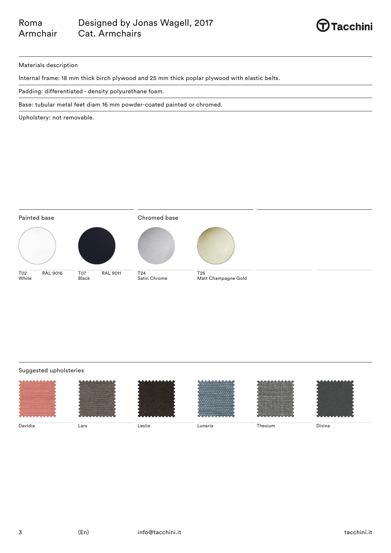

# Materials description

Internal frame: 18 mm thick birch plywood and 25 mm thick poplar plywood with elastic belts.

Padding: differentiated - density polyurethane foam.

Base: tubular metal feet diam 16 mm powder-coated painted or chromed.

Upholstery: not removable.



# Suggested upholsteries

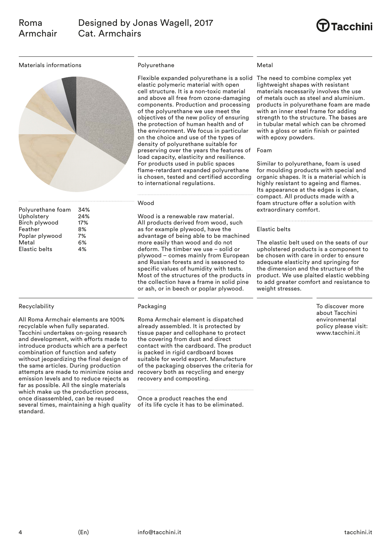

Materials informations



| Polyurethane foam    | 34% |
|----------------------|-----|
| Upholstery           | 24% |
| Birch plywood        | 17% |
| Feather              | 8%  |
| Poplar plywood       | 7%  |
| Metal                | 6%  |
| <b>Elastic belts</b> | 4%  |
|                      |     |

# Recyclability

All Roma Armchair elements are 100% recyclable when fully separated. Tacchini undertakes on-going research and development, with efforts made to introduce products which are a perfect combination of function and safety without jeopardizing the final design of the same articles. During production attempts are made to minimize noise and emission levels and to reduce rejects as far as possible. All the single materials which make up the production process, once disassembled, can be reused several times, maintaining a high quality standard.

#### Polyurethane

Flexible expanded polyurethane is a solid The need to combine complex yet elastic polymeric material with open cell structure. It is a non-toxic material and above all free from ozone-damaging components. Production and processing of the polyurethane we use meet the objectives of the new policy of ensuring the protection of human health and of the environment. We focus in particular on the choice and use of the types of density of polyurethane suitable for preserving over the years the features of load capacity, elasticity and resilience. For products used in public spaces flame-retardant expanded polyurethane is chosen, tested and certified according to international regulations.

#### Wood

Wood is a renewable raw material. All products derived from wood, such as for example plywood, have the advantage of being able to be machined more easily than wood and do not deform. The timber we use – solid or plywood – comes mainly from European and Russian forests and is seasoned to specific values of humidity with tests. Most of the structures of the products in the collection have a frame in solid pine or ash, or in beech or poplar plywood.

#### **Packaging**

Roma Armchair element is dispatched already assembled. It is protected by tissue paper and cellophane to protect the covering from dust and direct contact with the cardboard. The product is packed in rigid cardboard boxes suitable for world export. Manufacture of the packaging observes the criteria for recovery both as recycling and energy recovery and composting.

Once a product reaches the end of its life cycle it has to be eliminated.

#### Metal

lightweight shapes with resistant materials necessarily involves the use of metals ouch as steel and aluminium. products in polyurethane foam are made with an inner steel frame for adding strength to the structure. The bases are in tubular metal which can be chromed with a gloss or satin finish or painted with epoxy powders.

#### Foam

Similar to polyurethane, foam is used for moulding products with special and organic shapes. It is a material which is highly resistant to ageing and flames. Its appearance at the edges is clean, compact. All products made with a foam structure offer a solution with extraordinary comfort.

#### Elastic belts

The elastic belt used on the seats of our upholstered products is a component to be chosen with care in order to ensure adequate elasticity and springing for the dimension and the structure of the product. We use plaited elastic webbing to add greater comfort and resistance to weight stresses.

> To discover more about Tacchini environmental policy please visit: www.tacchini.it